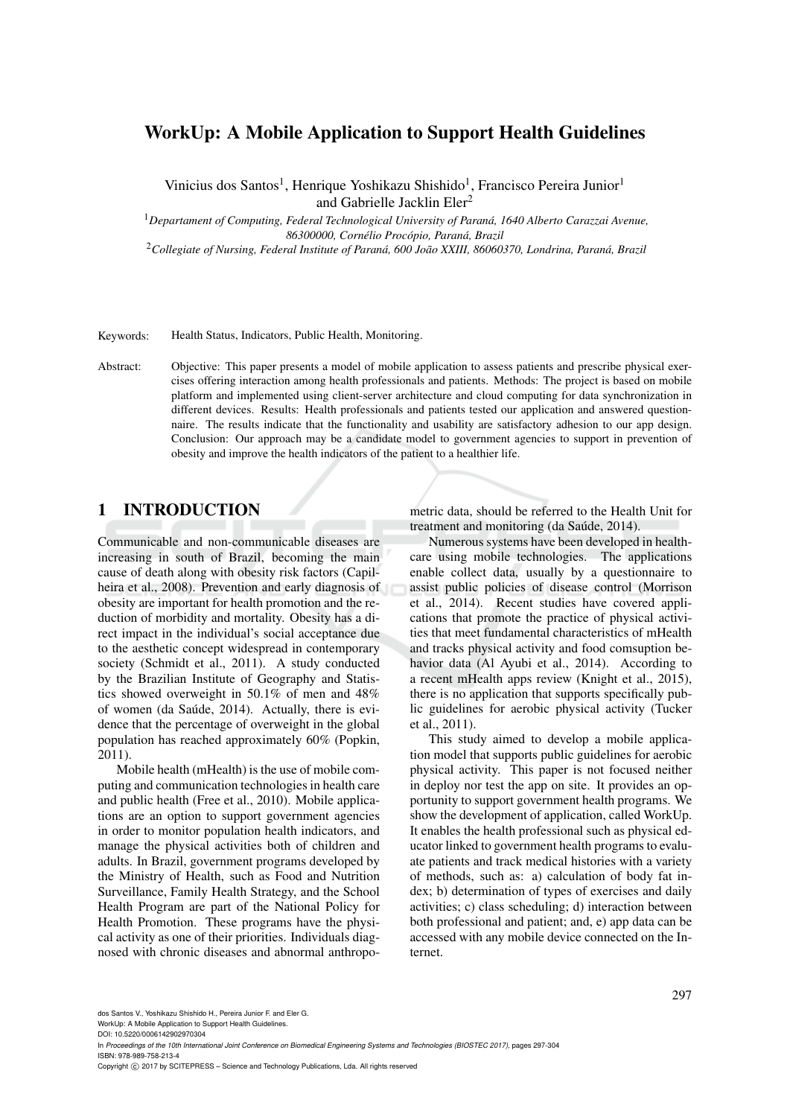# WorkUp: A Mobile Application to Support Health Guidelines

Vinicius dos Santos<sup>1</sup>, Henrique Yoshikazu Shishido<sup>1</sup>, Francisco Pereira Junior<sup>1</sup> and Gabrielle Jacklin Eler<sup>2</sup>

<sup>1</sup>*Departament of Computing, Federal Technological University of Parana, 1640 Alberto Carazzai Avenue, ´ 86300000, Cornelio Proc ´ opio, Paran ´ a, Brazil ´*

<sup>2</sup>*Collegiate of Nursing, Federal Institute of Parana, 600 Jo ´ ao XXIII, 86060370, Londrina, Paran ˜ a, Brazil ´*

Keywords: Health Status, Indicators, Public Health, Monitoring.

Abstract: Objective: This paper presents a model of mobile application to assess patients and prescribe physical exercises offering interaction among health professionals and patients. Methods: The project is based on mobile platform and implemented using client-server architecture and cloud computing for data synchronization in different devices. Results: Health professionals and patients tested our application and answered questionnaire. The results indicate that the functionality and usability are satisfactory adhesion to our app design. Conclusion: Our approach may be a candidate model to government agencies to support in prevention of obesity and improve the health indicators of the patient to a healthier life.

## 1 INTRODUCTION

Communicable and non-communicable diseases are increasing in south of Brazil, becoming the main cause of death along with obesity risk factors (Capilheira et al., 2008). Prevention and early diagnosis of obesity are important for health promotion and the reduction of morbidity and mortality. Obesity has a direct impact in the individual's social acceptance due to the aesthetic concept widespread in contemporary society (Schmidt et al., 2011). A study conducted by the Brazilian Institute of Geography and Statistics showed overweight in 50.1% of men and 48% of women (da Saúde, 2014). Actually, there is evidence that the percentage of overweight in the global population has reached approximately 60% (Popkin, 2011).

Mobile health (mHealth) is the use of mobile computing and communication technologies in health care and public health (Free et al., 2010). Mobile applications are an option to support government agencies in order to monitor population health indicators, and manage the physical activities both of children and adults. In Brazil, government programs developed by the Ministry of Health, such as Food and Nutrition Surveillance, Family Health Strategy, and the School Health Program are part of the National Policy for Health Promotion. These programs have the physical activity as one of their priorities. Individuals diagnosed with chronic diseases and abnormal anthropometric data, should be referred to the Health Unit for treatment and monitoring (da Saúde, 2014).

Numerous systems have been developed in healthcare using mobile technologies. The applications enable collect data, usually by a questionnaire to assist public policies of disease control (Morrison et al., 2014). Recent studies have covered applications that promote the practice of physical activities that meet fundamental characteristics of mHealth and tracks physical activity and food comsuption behavior data (Al Ayubi et al., 2014). According to a recent mHealth apps review (Knight et al., 2015), there is no application that supports specifically public guidelines for aerobic physical activity (Tucker et al., 2011).

This study aimed to develop a mobile application model that supports public guidelines for aerobic physical activity. This paper is not focused neither in deploy nor test the app on site. It provides an opportunity to support government health programs. We show the development of application, called WorkUp. It enables the health professional such as physical educator linked to government health programs to evaluate patients and track medical histories with a variety of methods, such as: a) calculation of body fat index; b) determination of types of exercises and daily activities; c) class scheduling; d) interaction between both professional and patient; and, e) app data can be accessed with any mobile device connected on the Internet.

dos Santos V., Yoshikazu Shishido H., Pereira Junior F. and Eler G.

WorkUp: A Mobile Application to Support Health Guidelines. DOI: 10.5220/0006142902970304

In *Proceedings of the 10th International Joint Conference on Biomedical Engineering Systems and Technologies (BIOSTEC 2017)*, pages 297-304 ISBN: 978-989-758-213-4

Copyright (C) 2017 by SCITEPRESS - Science and Technology Publications, Lda. All rights reserved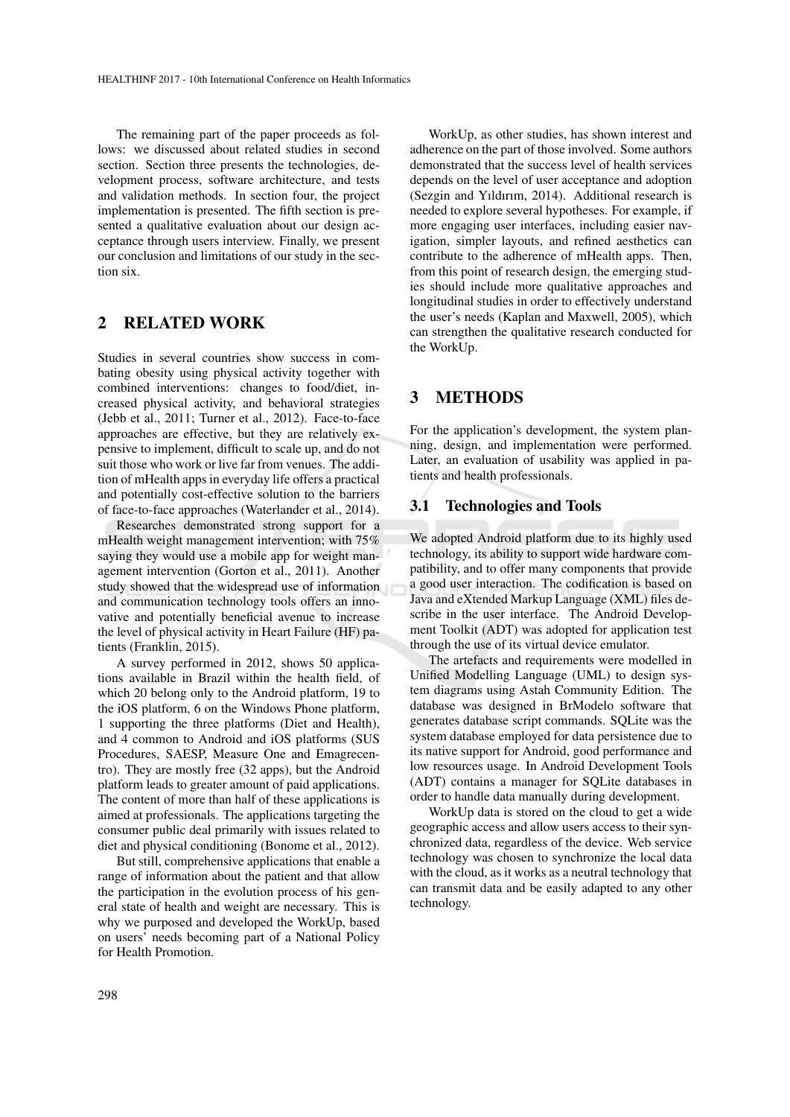The remaining part of the paper proceeds as follows: we discussed about related studies in second section. Section three presents the technologies, development process, software architecture, and tests and validation methods. In section four, the project implementation is presented. The fifth section is presented a qualitative evaluation about our design acceptance through users interview. Finally, we present our conclusion and limitations of our study in the section six.

## 2 RELATED WORK

Studies in several countries show success in combating obesity using physical activity together with combined interventions: changes to food/diet, increased physical activity, and behavioral strategies (Jebb et al., 2011; Turner et al., 2012). Face-to-face approaches are effective, but they are relatively expensive to implement, difficult to scale up, and do not suit those who work or live far from venues. The addition of mHealth apps in everyday life offers a practical and potentially cost-effective solution to the barriers of face-to-face approaches (Waterlander et al., 2014).

Researches demonstrated strong support for a mHealth weight management intervention; with 75% saying they would use a mobile app for weight management intervention (Gorton et al., 2011). Another study showed that the widespread use of information and communication technology tools offers an innovative and potentially beneficial avenue to increase the level of physical activity in Heart Failure (HF) patients (Franklin, 2015).

A survey performed in 2012, shows 50 applications available in Brazil within the health field, of which 20 belong only to the Android platform, 19 to the iOS platform, 6 on the Windows Phone platform, 1 supporting the three platforms (Diet and Health), and 4 common to Android and iOS platforms (SUS Procedures, SAESP, Measure One and Emagrecentro). They are mostly free (32 apps), but the Android platform leads to greater amount of paid applications. The content of more than half of these applications is aimed at professionals. The applications targeting the consumer public deal primarily with issues related to diet and physical conditioning (Bonome et al., 2012).

But still, comprehensive applications that enable a range of information about the patient and that allow the participation in the evolution process of his general state of health and weight are necessary. This is why we purposed and developed the WorkUp, based on users' needs becoming part of a National Policy for Health Promotion.

WorkUp, as other studies, has shown interest and adherence on the part of those involved. Some authors demonstrated that the success level of health services depends on the level of user acceptance and adoption (Sezgin and Yıldırım, 2014). Additional research is needed to explore several hypotheses. For example, if more engaging user interfaces, including easier navigation, simpler layouts, and refined aesthetics can contribute to the adherence of mHealth apps. Then, from this point of research design, the emerging studies should include more qualitative approaches and longitudinal studies in order to effectively understand the user's needs (Kaplan and Maxwell, 2005), which can strengthen the qualitative research conducted for the WorkUp.

## 3 METHODS

For the application's development, the system planning, design, and implementation were performed. Later, an evaluation of usability was applied in patients and health professionals.

#### 3.1 Technologies and Tools

We adopted Android platform due to its highly used technology, its ability to support wide hardware compatibility, and to offer many components that provide a good user interaction. The codification is based on Java and eXtended Markup Language (XML) files describe in the user interface. The Android Development Toolkit (ADT) was adopted for application test through the use of its virtual device emulator.

The artefacts and requirements were modelled in Unified Modelling Language (UML) to design system diagrams using Astah Community Edition. The database was designed in BrModelo software that generates database script commands. SQLite was the system database employed for data persistence due to its native support for Android, good performance and low resources usage. In Android Development Tools (ADT) contains a manager for SQLite databases in order to handle data manually during development.

WorkUp data is stored on the cloud to get a wide geographic access and allow users access to their synchronized data, regardless of the device. Web service technology was chosen to synchronize the local data with the cloud, as it works as a neutral technology that can transmit data and be easily adapted to any other technology.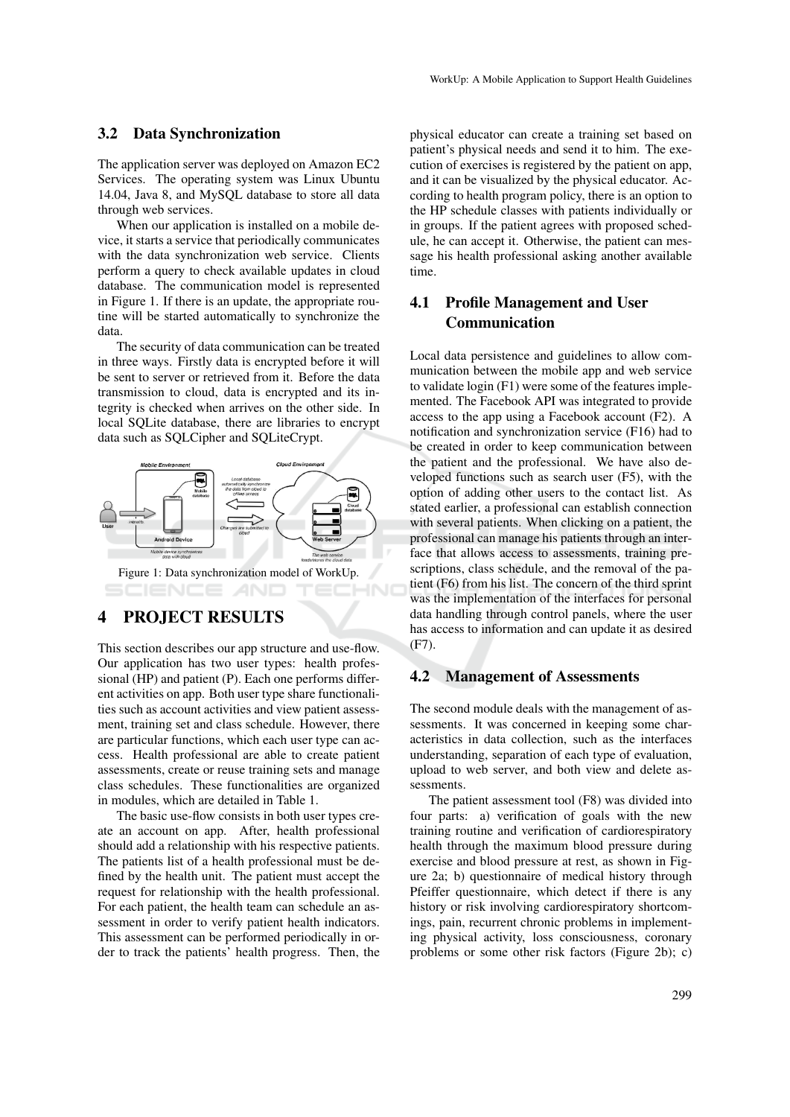#### 3.2 Data Synchronization

The application server was deployed on Amazon EC2 Services. The operating system was Linux Ubuntu 14.04, Java 8, and MySQL database to store all data through web services.

When our application is installed on a mobile device, it starts a service that periodically communicates with the data synchronization web service. Clients perform a query to check available updates in cloud database. The communication model is represented in Figure 1. If there is an update, the appropriate routine will be started automatically to synchronize the data.

The security of data communication can be treated in three ways. Firstly data is encrypted before it will be sent to server or retrieved from it. Before the data transmission to cloud, data is encrypted and its integrity is checked when arrives on the other side. In local SQLite database, there are libraries to encrypt data such as SQLCipher and SQLiteCrypt.



## 4 PROJECT RESULTS

This section describes our app structure and use-flow. Our application has two user types: health professional (HP) and patient (P). Each one performs different activities on app. Both user type share functionalities such as account activities and view patient assessment, training set and class schedule. However, there are particular functions, which each user type can access. Health professional are able to create patient assessments, create or reuse training sets and manage class schedules. These functionalities are organized in modules, which are detailed in Table 1.

The basic use-flow consists in both user types create an account on app. After, health professional should add a relationship with his respective patients. The patients list of a health professional must be defined by the health unit. The patient must accept the request for relationship with the health professional. For each patient, the health team can schedule an assessment in order to verify patient health indicators. This assessment can be performed periodically in order to track the patients' health progress. Then, the physical educator can create a training set based on patient's physical needs and send it to him. The execution of exercises is registered by the patient on app, and it can be visualized by the physical educator. According to health program policy, there is an option to the HP schedule classes with patients individually or in groups. If the patient agrees with proposed schedule, he can accept it. Otherwise, the patient can message his health professional asking another available time.

## 4.1 Profile Management and User Communication

Local data persistence and guidelines to allow communication between the mobile app and web service to validate login (F1) were some of the features implemented. The Facebook API was integrated to provide access to the app using a Facebook account (F2). A notification and synchronization service (F16) had to be created in order to keep communication between the patient and the professional. We have also developed functions such as search user (F5), with the option of adding other users to the contact list. As stated earlier, a professional can establish connection with several patients. When clicking on a patient, the professional can manage his patients through an interface that allows access to assessments, training prescriptions, class schedule, and the removal of the patient (F6) from his list. The concern of the third sprint was the implementation of the interfaces for personal data handling through control panels, where the user has access to information and can update it as desired (F7).

#### 4.2 Management of Assessments

The second module deals with the management of assessments. It was concerned in keeping some characteristics in data collection, such as the interfaces understanding, separation of each type of evaluation, upload to web server, and both view and delete assessments.

The patient assessment tool (F8) was divided into four parts: a) verification of goals with the new training routine and verification of cardiorespiratory health through the maximum blood pressure during exercise and blood pressure at rest, as shown in Figure 2a; b) questionnaire of medical history through Pfeiffer questionnaire, which detect if there is any history or risk involving cardiorespiratory shortcomings, pain, recurrent chronic problems in implementing physical activity, loss consciousness, coronary problems or some other risk factors (Figure 2b); c)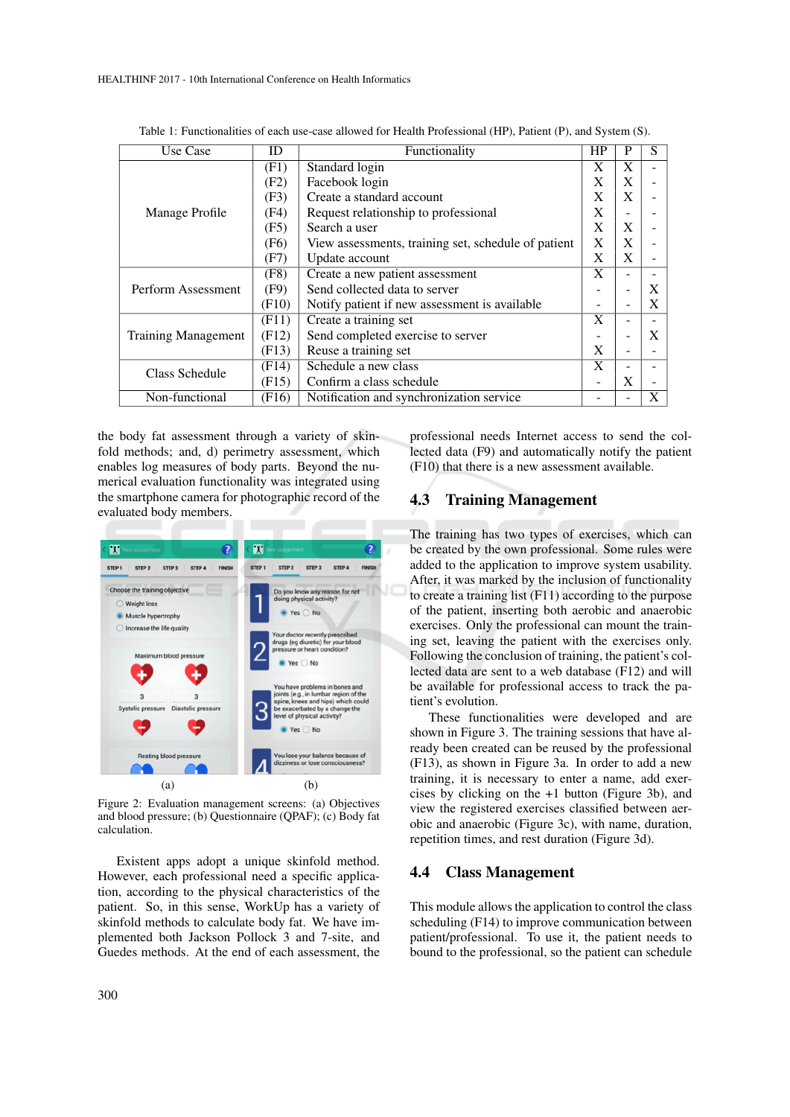| Use Case                   | ID                 | Functionality                                       | HP           | P | S |
|----------------------------|--------------------|-----------------------------------------------------|--------------|---|---|
| Manage Profile             | (F1)               | Standard login                                      | X            | X |   |
|                            | (F2)               | Facebook login                                      | X            | X |   |
|                            | (F3)               | Create a standard account                           | X            | X |   |
|                            | (F4)               | Request relationship to professional                | X            |   |   |
|                            | (F5)               | Search a user                                       | X            | X |   |
|                            | (F <sub>6</sub> )  | View assessments, training set, schedule of patient | $\mathbf{X}$ | X |   |
|                            | (F7)               | Update account                                      | X            | X |   |
|                            | (F8)               | Create a new patient assessment                     | X            |   |   |
| Perform Assessment         | (F9)               | Send collected data to server                       |              |   | X |
|                            | (F10)              | Notify patient if new assessment is available.      |              |   | X |
|                            | (F11)              | Create a training set                               | X            |   |   |
| <b>Training Management</b> | (F12)              | Send completed exercise to server                   |              |   | X |
|                            | (F13)              | Reuse a training set                                | X            |   |   |
| Class Schedule             | (F14)              | Schedule a new class                                | X            |   |   |
|                            | (F15)              | Confirm a class schedule                            |              | X |   |
| Non-functional             | (F <sub>16</sub> ) | Notification and synchronization service            |              |   | X |

Table 1: Functionalities of each use-case allowed for Health Professional (HP), Patient (P), and System (S).

the body fat assessment through a variety of skinfold methods; and, d) perimetry assessment, which enables log measures of body parts. Beyond the numerical evaluation functionality was integrated using the smartphone camera for photographic record of the evaluated body members.



Figure 2: Evaluation management screens: (a) Objectives and blood pressure; (b) Questionnaire (QPAF); (c) Body fat calculation.

Existent apps adopt a unique skinfold method. However, each professional need a specific application, according to the physical characteristics of the patient. So, in this sense, WorkUp has a variety of skinfold methods to calculate body fat. We have implemented both Jackson Pollock 3 and 7-site, and Guedes methods. At the end of each assessment, the professional needs Internet access to send the collected data (F9) and automatically notify the patient (F10) that there is a new assessment available.

## 4.3 Training Management

The training has two types of exercises, which can be created by the own professional. Some rules were added to the application to improve system usability. After, it was marked by the inclusion of functionality to create a training list (F11) according to the purpose of the patient, inserting both aerobic and anaerobic exercises. Only the professional can mount the training set, leaving the patient with the exercises only. Following the conclusion of training, the patient's collected data are sent to a web database (F12) and will be available for professional access to track the patient's evolution.

These functionalities were developed and are shown in Figure 3. The training sessions that have already been created can be reused by the professional (F13), as shown in Figure 3a. In order to add a new training, it is necessary to enter a name, add exercises by clicking on the +1 button (Figure 3b), and view the registered exercises classified between aerobic and anaerobic (Figure 3c), with name, duration, repetition times, and rest duration (Figure 3d).

#### 4.4 Class Management

This module allows the application to control the class scheduling (F14) to improve communication between patient/professional. To use it, the patient needs to bound to the professional, so the patient can schedule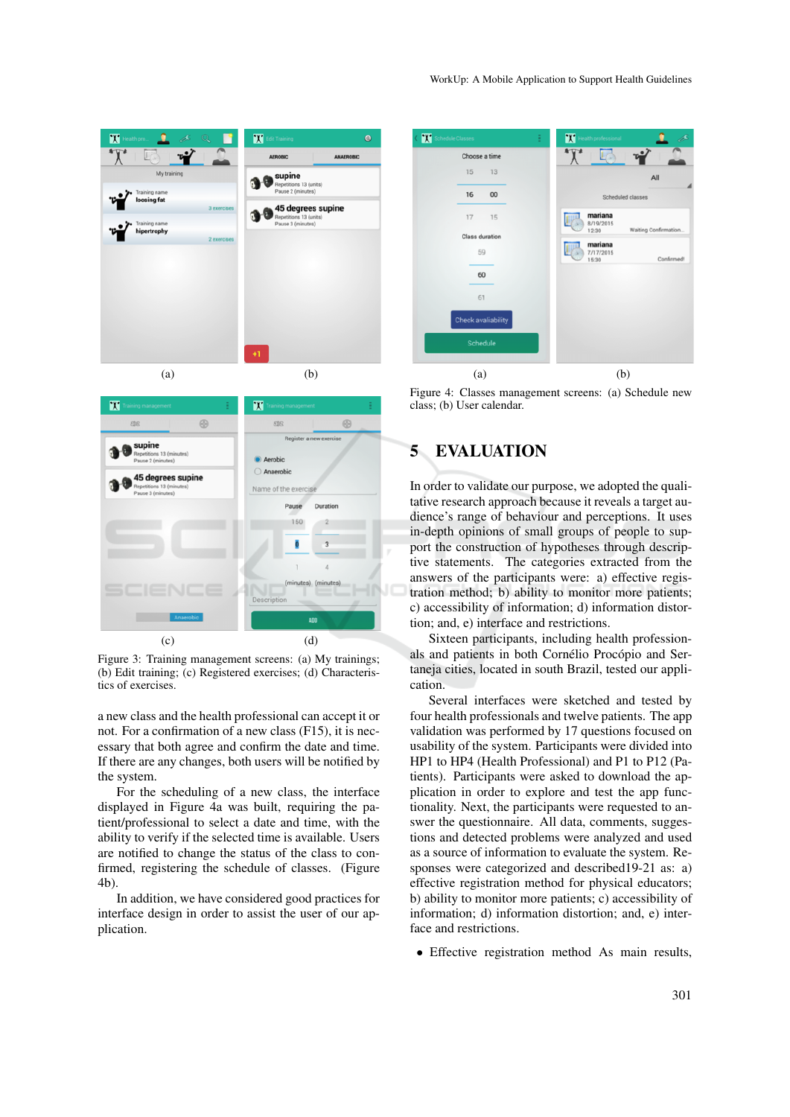



Figure 3: Training management screens: (a) My trainings; (b) Edit training; (c) Registered exercises; (d) Characteristics of exercises.

a new class and the health professional can accept it or not. For a confirmation of a new class (F15), it is necessary that both agree and confirm the date and time. If there are any changes, both users will be notified by the system.

For the scheduling of a new class, the interface displayed in Figure 4a was built, requiring the patient/professional to select a date and time, with the ability to verify if the selected time is available. Users are notified to change the status of the class to confirmed, registering the schedule of classes. (Figure 4b).

In addition, we have considered good practices for interface design in order to assist the user of our application.



Figure 4: Classes management screens: (a) Schedule new class; (b) User calendar.

# 5 EVALUATION

In order to validate our purpose, we adopted the qualitative research approach because it reveals a target audience's range of behaviour and perceptions. It uses in-depth opinions of small groups of people to support the construction of hypotheses through descriptive statements. The categories extracted from the answers of the participants were: a) effective registration method; b) ability to monitor more patients; c) accessibility of information; d) information distortion; and, e) interface and restrictions.

Sixteen participants, including health professionals and patients in both Cornélio Procópio and Sertaneja cities, located in south Brazil, tested our application.

Several interfaces were sketched and tested by four health professionals and twelve patients. The app validation was performed by 17 questions focused on usability of the system. Participants were divided into HP1 to HP4 (Health Professional) and P1 to P12 (Patients). Participants were asked to download the application in order to explore and test the app functionality. Next, the participants were requested to answer the questionnaire. All data, comments, suggestions and detected problems were analyzed and used as a source of information to evaluate the system. Responses were categorized and described19-21 as: a) effective registration method for physical educators; b) ability to monitor more patients; c) accessibility of information; d) information distortion; and, e) interface and restrictions.

• Effective registration method As main results,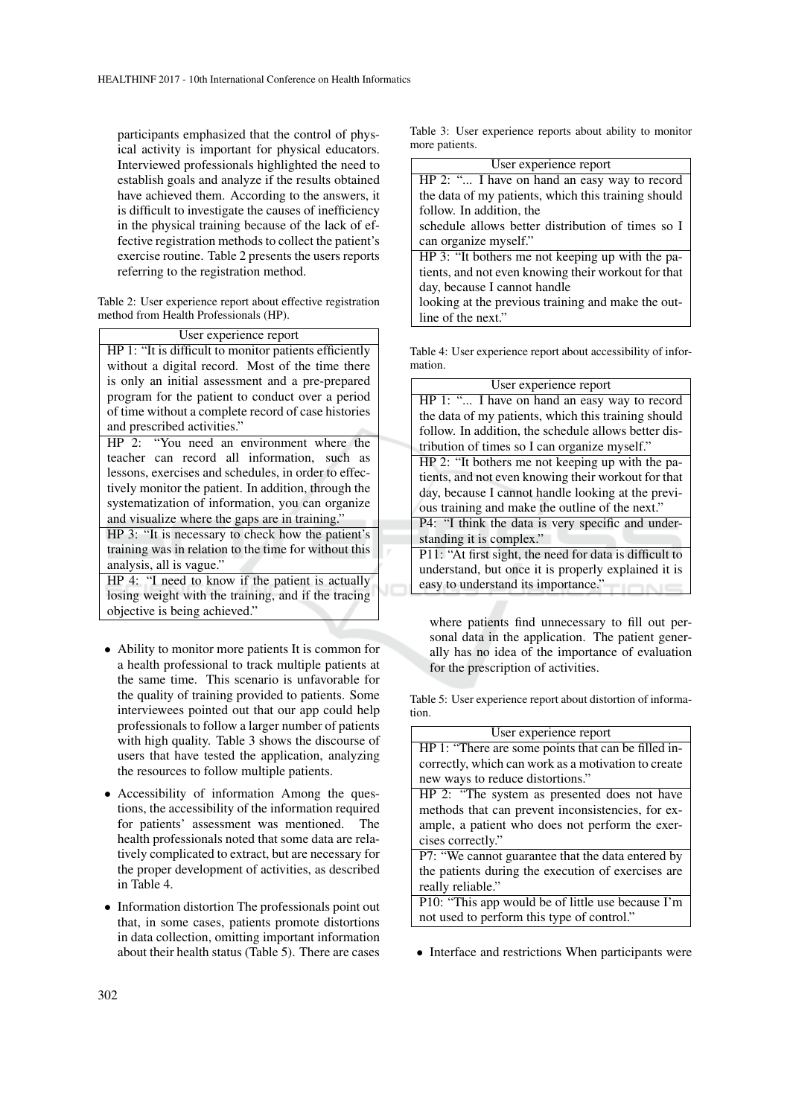participants emphasized that the control of physical activity is important for physical educators. Interviewed professionals highlighted the need to establish goals and analyze if the results obtained have achieved them. According to the answers, it is difficult to investigate the causes of inefficiency in the physical training because of the lack of effective registration methods to collect the patient's exercise routine. Table 2 presents the users reports referring to the registration method.

Table 2: User experience report about effective registration method from Health Professionals (HP).

| User experience report                                 |  |  |  |
|--------------------------------------------------------|--|--|--|
| HP 1: "It is difficult to monitor patients efficiently |  |  |  |
| without a digital record. Most of the time there       |  |  |  |
| is only an initial assessment and a pre-prepared       |  |  |  |
| program for the patient to conduct over a period       |  |  |  |
| of time without a complete record of case histories    |  |  |  |
|                                                        |  |  |  |
| and prescribed activities."                            |  |  |  |
| HP 2: "You need an environment where the               |  |  |  |
| teacher can record all information, such as            |  |  |  |
| lessons, exercises and schedules, in order to effec-   |  |  |  |
| tively monitor the patient. In addition, through the   |  |  |  |

and visualize where the gaps are in training. HP 3: "It is necessary to check how the patient's training was in relation to the time for without this analysis, all is vague."

HP 4: "I need to know if the patient is actually losing weight with the training, and if the tracing objective is being achieved."

- Ability to monitor more patients It is common for a health professional to track multiple patients at the same time. This scenario is unfavorable for the quality of training provided to patients. Some interviewees pointed out that our app could help professionals to follow a larger number of patients with high quality. Table 3 shows the discourse of users that have tested the application, analyzing the resources to follow multiple patients.
- Accessibility of information Among the questions, the accessibility of the information required for patients' assessment was mentioned. The health professionals noted that some data are relatively complicated to extract, but are necessary for the proper development of activities, as described in Table 4.
- Information distortion The professionals point out that, in some cases, patients promote distortions in data collection, omitting important information about their health status (Table 5). There are cases

Table 3: User experience reports about ability to monitor more patients.

| User experience report                              |  |  |  |
|-----------------------------------------------------|--|--|--|
| HP 2: " I have on hand an easy way to record        |  |  |  |
| the data of my patients, which this training should |  |  |  |
| follow. In addition, the                            |  |  |  |
| schedule allows better distribution of times so I   |  |  |  |
| can organize myself."                               |  |  |  |
| HP 3: "It bothers me not keeping up with the pa-    |  |  |  |
| tients, and not even knowing their workout for that |  |  |  |
| day, because I cannot handle                        |  |  |  |
| looking at the previous training and make the out-  |  |  |  |
| line of the next."                                  |  |  |  |
|                                                     |  |  |  |

Table 4: User experience report about accessibility of information.

| User experience report                                  |  |  |  |
|---------------------------------------------------------|--|--|--|
| HP 1: " I have on hand an easy way to record            |  |  |  |
| the data of my patients, which this training should     |  |  |  |
| follow. In addition, the schedule allows better dis-    |  |  |  |
| tribution of times so I can organize myself."           |  |  |  |
| HP 2: "It bothers me not keeping up with the pa-        |  |  |  |
| tients, and not even knowing their workout for that     |  |  |  |
| day, because I cannot handle looking at the previ-      |  |  |  |
| ous training and make the outline of the next."         |  |  |  |
| P4: "I think the data is very specific and under-       |  |  |  |
| standing it is complex."                                |  |  |  |
| P11: "At first sight, the need for data is difficult to |  |  |  |
| understand, but once it is properly explained it is     |  |  |  |
| easy to understand its importance."                     |  |  |  |

where patients find unnecessary to fill out personal data in the application. The patient generally has no idea of the importance of evaluation for the prescription of activities.

Table 5: User experience report about distortion of information.

| User experience report                              |  |
|-----------------------------------------------------|--|
|                                                     |  |
| HP 1: "There are some points that can be filled in- |  |
| correctly, which can work as a motivation to create |  |
| new ways to reduce distortions."                    |  |
| HP 2: "The system as presented does not have        |  |
| methods that can prevent inconsistencies, for ex-   |  |
| ample, a patient who does not perform the exer-     |  |
| cises correctly."                                   |  |
| P7: "We cannot guarantee that the data entered by   |  |
| the patients during the execution of exercises are  |  |
| really reliable."                                   |  |
| P10: "This app would be of little use because I'm   |  |
| not used to perform this type of control."          |  |

• Interface and restrictions When participants were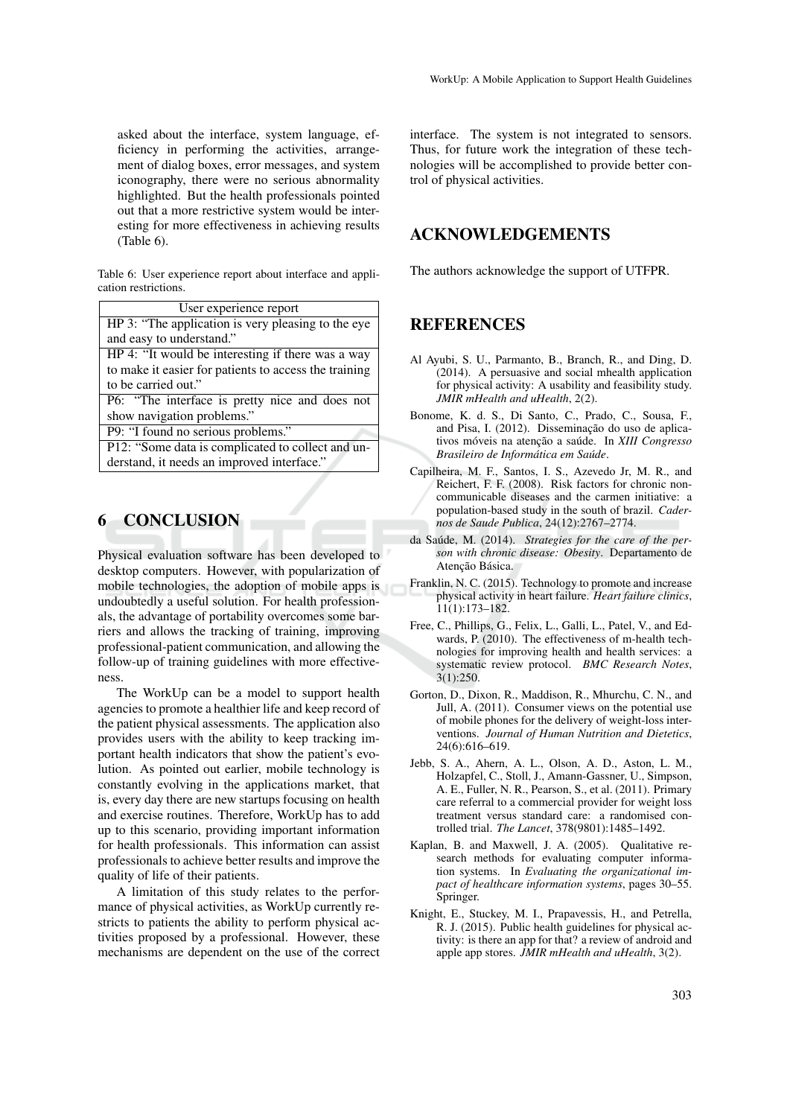asked about the interface, system language, efficiency in performing the activities, arrangement of dialog boxes, error messages, and system iconography, there were no serious abnormality highlighted. But the health professionals pointed out that a more restrictive system would be interesting for more effectiveness in achieving results (Table 6).

Table 6: User experience report about interface and application restrictions.

| User experience report                                |  |  |
|-------------------------------------------------------|--|--|
| HP 3: "The application is very pleasing to the eye    |  |  |
| and easy to understand."                              |  |  |
| HP 4: "It would be interesting if there was a way     |  |  |
| to make it easier for patients to access the training |  |  |
| to be carried out."                                   |  |  |
| P6: "The interface is pretty nice and does not        |  |  |
| show navigation problems."                            |  |  |

P9: "I found no serious problems."

P12: "Some data is complicated to collect and understand, it needs an improved interface."

# 6 CONCLUSION

Physical evaluation software has been developed to desktop computers. However, with popularization of mobile technologies, the adoption of mobile apps is undoubtedly a useful solution. For health professionals, the advantage of portability overcomes some barriers and allows the tracking of training, improving professional-patient communication, and allowing the follow-up of training guidelines with more effectiveness.

The WorkUp can be a model to support health agencies to promote a healthier life and keep record of the patient physical assessments. The application also provides users with the ability to keep tracking important health indicators that show the patient's evolution. As pointed out earlier, mobile technology is constantly evolving in the applications market, that is, every day there are new startups focusing on health and exercise routines. Therefore, WorkUp has to add up to this scenario, providing important information for health professionals. This information can assist professionals to achieve better results and improve the quality of life of their patients.

A limitation of this study relates to the performance of physical activities, as WorkUp currently restricts to patients the ability to perform physical activities proposed by a professional. However, these mechanisms are dependent on the use of the correct

interface. The system is not integrated to sensors. Thus, for future work the integration of these technologies will be accomplished to provide better control of physical activities.

## ACKNOWLEDGEMENTS

The authors acknowledge the support of UTFPR.

## **REFERENCES**

- Al Ayubi, S. U., Parmanto, B., Branch, R., and Ding, D. (2014). A persuasive and social mhealth application for physical activity: A usability and feasibility study. *JMIR mHealth and uHealth*, 2(2).
- Bonome, K. d. S., Di Santo, C., Prado, C., Sousa, F., and Pisa, I. (2012). Disseminação do uso de aplicativos móveis na atenção a saúde. In XIII Congresso *Brasileiro de Informatica em Sa ´ ude ´* .
- Capilheira, M. F., Santos, I. S., Azevedo Jr, M. R., and Reichert, F. F. (2008). Risk factors for chronic noncommunicable diseases and the carmen initiative: a population-based study in the south of brazil. *Cadernos de Saude Publica*, 24(12):2767–2774.
- da Saúde, M. (2014). Strategies for the care of the per*son with chronic disease: Obesity*. Departamento de Atenção Básica.
- Franklin, N. C. (2015). Technology to promote and increase physical activity in heart failure. *Heart failure clinics*, 11(1):173–182.
- Free, C., Phillips, G., Felix, L., Galli, L., Patel, V., and Edwards, P. (2010). The effectiveness of m-health technologies for improving health and health services: a systematic review protocol. *BMC Research Notes*, 3(1):250.
- Gorton, D., Dixon, R., Maddison, R., Mhurchu, C. N., and Jull, A. (2011). Consumer views on the potential use of mobile phones for the delivery of weight-loss interventions. *Journal of Human Nutrition and Dietetics*, 24(6):616–619.
- Jebb, S. A., Ahern, A. L., Olson, A. D., Aston, L. M., Holzapfel, C., Stoll, J., Amann-Gassner, U., Simpson, A. E., Fuller, N. R., Pearson, S., et al. (2011). Primary care referral to a commercial provider for weight loss treatment versus standard care: a randomised controlled trial. *The Lancet*, 378(9801):1485–1492.
- Kaplan, B. and Maxwell, J. A. (2005). Qualitative research methods for evaluating computer information systems. In *Evaluating the organizational impact of healthcare information systems*, pages 30–55. Springer.
- Knight, E., Stuckey, M. I., Prapavessis, H., and Petrella, R. J. (2015). Public health guidelines for physical activity: is there an app for that? a review of android and apple app stores. *JMIR mHealth and uHealth*, 3(2).